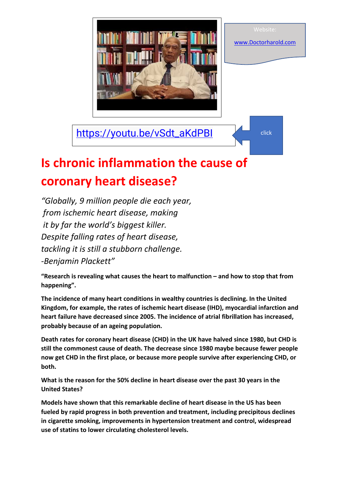

[https://youtu.be/vSdt\\_aKdPBI](https://youtu.be/vSdt_aKdPBI) click

[www.Doctorharold.com](http://www.doctorharold.com/)

## **Is chronic inflammation the cause of coronary heart disease?**

*"Globally, 9 million people die each year, from ischemic heart disease, making it by far the world's biggest killer. Despite falling rates of heart disease, tackling it is still a stubborn challenge. -Benjamin Plackett"*

**"Research is revealing what causes the heart to malfunction – and how to stop that from happening".**

**The incidence of many heart conditions in wealthy countries is declining. In the United Kingdom, for example, the rates of ischemic heart disease (IHD), myocardial infarction and heart failure have decreased since 2005. The incidence of atrial fibrillation has increased, probably because of an ageing population.**

**Death rates for coronary heart disease (CHD) in the UK have halved since 1980, but CHD is still the commonest cause of death. The decrease since 1980 maybe because fewer people now get CHD in the first place, or because more people survive after experiencing CHD, or both.**

**What is the reason for the 50% decline in heart disease over the past 30 years in the United States?**

**Models have shown that this remarkable decline of heart disease in the US has been fueled by rapid progress in both prevention and treatment, including precipitous declines in cigarette smoking, improvements in hypertension treatment and control, widespread use of statins to lower circulating cholesterol levels.**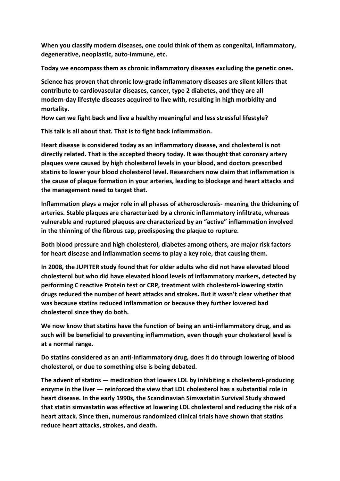**When you classify modern diseases, one could think of them as congenital, inflammatory, degenerative, neoplastic, auto-immune, etc.**

**Today we encompass them as chronic inflammatory diseases excluding the genetic ones.** 

**Science has proven that chronic low-grade inflammatory diseases are silent killers that contribute to cardiovascular diseases, cancer, type 2 diabetes, and they are all modern-day lifestyle diseases acquired to live with, resulting in high morbidity and mortality.**

**How can we fight back and live a healthy meaningful and less stressful lifestyle?**

**This talk is all about that. That is to fight back inflammation.**

**Heart disease is considered today as an inflammatory disease, and cholesterol is not directly related. That is the accepted theory today. It was thought that coronary artery plaques were caused by high cholesterol levels in your blood, and doctors prescribed statins to lower your blood cholesterol level. Researchers now claim that inflammation is the cause of plaque formation in your arteries, leading to blockage and heart attacks and the management need to target that.**

**Inflammation plays a major role in all phases of atherosclerosis- meaning the thickening of arteries. Stable plaques are characterized by a chronic inflammatory infiltrate, whereas vulnerable and ruptured plaques are characterized by an "active" inflammation involved in the thinning of the fibrous cap, predisposing the plaque to rupture.**

**Both blood pressure and high cholesterol, diabetes among others, are major risk factors for heart disease and inflammation seems to play a key role, that causing them.**

**In 2008, the JUPITER study found that for older adults who did not have elevated blood cholesterol but who did have elevated blood levels of inflammatory markers, detected by performing C reactive Protein test or CRP, treatment with cholesterol-lowering statin drugs reduced the number of heart attacks and strokes. But it wasn't clear whether that was because statins reduced inflammation or because they further lowered bad cholesterol since they do both.**

**We now know that statins have the function of being an anti-inflammatory drug, and as such will be beneficial to preventing inflammation, even though your cholesterol level is at a normal range.**

**Do statins considered as an anti-inflammatory drug, does it do through lowering of blood cholesterol, or due to something else is being debated.**

**The advent of statins — medication that lowers LDL by inhibiting a cholesterol-producing enzyme in the liver — reinforced the view that LDL cholesterol has a substantial role in heart disease. In the early 1990s, the Scandinavian Simvastatin Survival Study showed that statin simvastatin was effective at lowering LDL cholesterol and reducing the risk of a heart attack. Since then, numerous randomized clinical trials have shown that statins reduce heart attacks, strokes, and death.**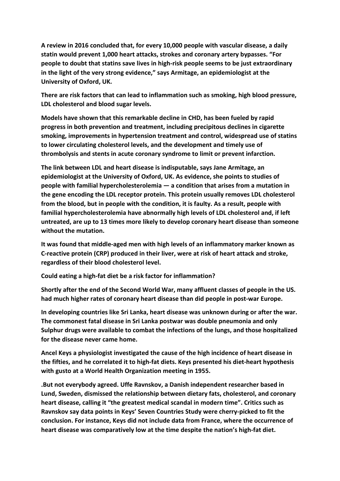**A review in 2016 concluded that, for every 10,000 people with vascular disease, a daily statin would prevent 1,000 heart attacks, strokes and coronary artery bypasses. "For people to doubt that statins save lives in high-risk people seems to be just extraordinary in the light of the very strong evidence," says Armitage, an epidemiologist at the University of Oxford, UK.**

**There are risk factors that can lead to inflammation such as smoking, high blood pressure, LDL cholesterol and blood sugar levels.**

**Models have shown that this remarkable decline in CHD, has been fueled by rapid progress in both prevention and treatment, including precipitous declines in cigarette smoking, improvements in hypertension treatment and control, widespread use of statins to lower circulating cholesterol levels, and the development and timely use of thrombolysis and stents in acute coronary syndrome to limit or prevent infarction.**

**The link between LDL and heart disease is indisputable, says Jane Armitage, an epidemiologist at the University of Oxford, UK. As evidence, she points to studies of people with familial hypercholesterolemia — a condition that arises from a mutation in the gene encoding the LDL receptor protein. This protein usually removes LDL cholesterol from the blood, but in people with the condition, it is faulty. As a result, people with familial hypercholesterolemia have abnormally high levels of LDL cholesterol and, if left untreated, are up to 13 times more likely to develop coronary heart disease than someone without the mutation.**

**It was found that middle-aged men with high levels of an inflammatory marker known as C-reactive protein (CRP) produced in their liver, were at risk of heart attack and stroke, regardless of their blood cholesterol level.**

**Could eating a high-fat diet be a risk factor for inflammation?**

**Shortly after the end of the Second World War, many affluent classes of people in the US. had much higher rates of coronary heart disease than did people in post-war Europe.**

**In developing countries like Sri Lanka, heart disease was unknown during or after the war. The commonest fatal disease in Sri Lanka postwar was double pneumonia and only Sulphur drugs were available to combat the infections of the lungs, and those hospitalized for the disease never came home.**

**Ancel Keys a physiologist investigated the cause of the high incidence of heart disease in the fifties, and he correlated it to high-fat diets. Keys presented his diet-heart hypothesis with gusto at a World Health Organization meeting in 1955.**

**.But not everybody agreed. Uffe Ravnskov, a Danish independent researcher based in Lund, Sweden, dismissed the relationship between dietary fats, cholesterol, and coronary heart disease, calling it "the greatest medical scandal in modern time". Critics such as Ravnskov say data points in Keys' Seven Countries Study were cherry-picked to fit the conclusion. For instance, Keys did not include data from France, where the occurrence of heart disease was comparatively low at the time despite the nation's high-fat diet.**